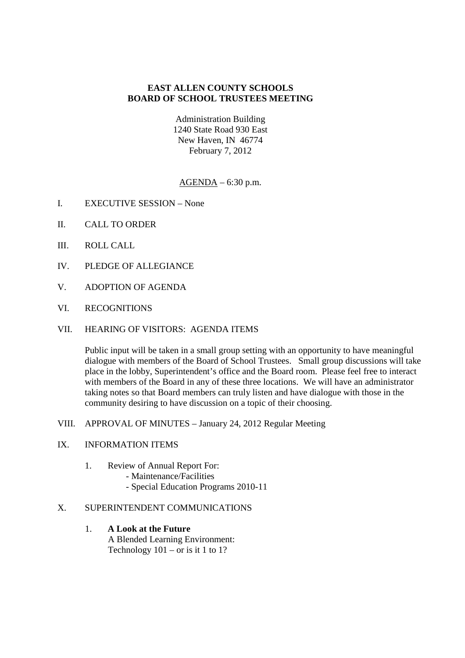## **EAST ALLEN COUNTY SCHOOLS BOARD OF SCHOOL TRUSTEES MEETING**

Administration Building 1240 State Road 930 East New Haven, IN 46774 February 7, 2012

AGENDA – 6:30 p.m.

- I. EXECUTIVE SESSION None
- II. CALL TO ORDER
- III. ROLL CALL
- IV. PLEDGE OF ALLEGIANCE
- V. ADOPTION OF AGENDA
- VI. RECOGNITIONS
- VII. HEARING OF VISITORS: AGENDA ITEMS

Public input will be taken in a small group setting with an opportunity to have meaningful dialogue with members of the Board of School Trustees. Small group discussions will take place in the lobby, Superintendent's office and the Board room. Please feel free to interact with members of the Board in any of these three locations. We will have an administrator taking notes so that Board members can truly listen and have dialogue with those in the community desiring to have discussion on a topic of their choosing.

VIII. APPROVAL OF MINUTES – January 24, 2012 Regular Meeting

## IX. INFORMATION ITEMS

- 1. Review of Annual Report For:
	- Maintenance/Facilities
		- Special Education Programs 2010-11

## X. SUPERINTENDENT COMMUNICATIONS

1. **A Look at the Future** A Blended Learning Environment: Technology  $101 - or$  is it 1 to 1?